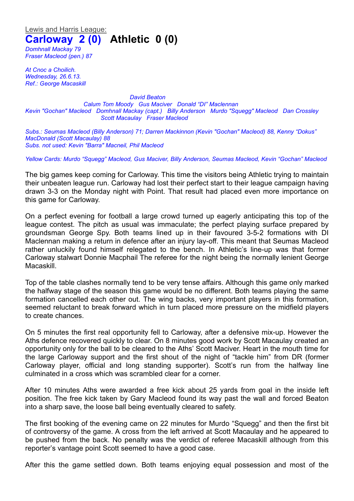Lewis and Harris League: **Carloway 2 (0) Athletic 0 (0)**

*Domhnall Mackay 79 Fraser Macleod (pen.) 87*

*At Cnoc a Choilich. Wednesday, 26.6.13. Ref.: George Macaskill*

*David Beaton Calum Tom Moody Gus Maciver Donald "DI" Maclennan Kevin "Gochan" Macleod Domhnall Mackay (capt.) Billy Anderson Murdo "Squegg" Macleod Dan Crossley Scott Macaulay Fraser Macleod*

*Subs.: Seumas Macleod (Billy Anderson) 71; Darren Mackinnon (Kevin "Gochan" Macleod) 88, Kenny "Dokus" MacDonald (Scott Macaulay) 88 Subs. not used: Kevin "Barra" Macneil, Phil Macleod*

*Yellow Cards: Murdo "Squegg" Macleod, Gus Maciver, Billy Anderson, Seumas Macleod, Kevin "Gochan" Macleod*

The big games keep coming for Carloway. This time the visitors being Athletic trying to maintain their unbeaten league run. Carloway had lost their perfect start to their league campaign having drawn 3-3 on the Monday night with Point. That result had placed even more importance on this game for Carloway.

On a perfect evening for football a large crowd turned up eagerly anticipating this top of the league contest. The pitch as usual was immaculate; the perfect playing surface prepared by groundsman George Spy. Both teams lined up in their favoured 3-5-2 formations with DI Maclennan making a return in defence after an injury lay-off. This meant that Seumas Macleod rather unluckily found himself relegated to the bench. In Athletic's line-up was that former Carloway stalwart Donnie Macphail The referee for the night being the normally lenient George Macaskill.

Top of the table clashes normally tend to be very tense affairs. Although this game only marked the halfway stage of the season this game would be no different. Both teams playing the same formation cancelled each other out. The wing backs, very important players in this formation, seemed reluctant to break forward which in turn placed more pressure on the midfield players to create chances.

On 5 minutes the first real opportunity fell to Carloway, after a defensive mix-up. However the Aths defence recovered quickly to clear. On 8 minutes good work by Scott Macaulay created an opportunity only for the ball to be cleared to the Aths' Scott Maciver. Heart in the mouth time for the large Carloway support and the first shout of the night of "tackle him" from DR (former Carloway player, official and long standing supporter). Scott's run from the halfway line culminated in a cross which was scrambled clear for a corner.

After 10 minutes Aths were awarded a free kick about 25 yards from goal in the inside left position. The free kick taken by Gary Macleod found its way past the wall and forced Beaton into a sharp save, the loose ball being eventually cleared to safety.

The first booking of the evening came on 22 minutes for Murdo "Squegg" and then the first bit of controversy of the game. A cross from the left arrived at Scott Macaulay and he appeared to be pushed from the back. No penalty was the verdict of referee Macaskill although from this reporter's vantage point Scott seemed to have a good case.

After this the game settled down. Both teams enjoying equal possession and most of the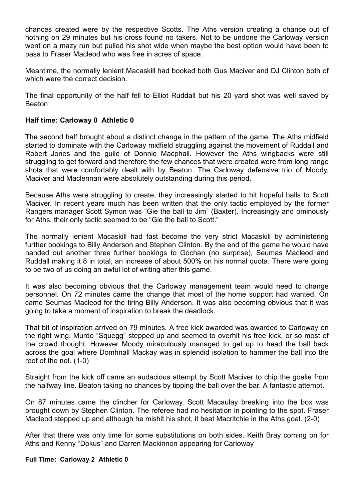chances created were by the respective Scotts. The Aths version creating a chance out of nothing on 29 minutes but his cross found no takers. Not to be undone the Carloway version went on a mazy run but pulled his shot wide when maybe the best option would have been to pass to Fraser Macleod who was free in acres of space.

Meantime, the normally lenient Macaskill had booked both Gus Maciver and DJ Clinton both of which were the correct decision.

The final opportunity of the half fell to Elliot Ruddall but his 20 yard shot was well saved by Beaton

## **Half time: Carloway 0 Athletic 0**

The second half brought about a distinct change in the pattern of the game. The Aths midfield started to dominate with the Carloway midfield struggling against the movement of Ruddall and Robert Jones and the guile of Donnie Macphail. However the Aths wingbacks were still struggling to get forward and therefore the few chances that were created were from long range shots that were comfortably dealt with by Beaton. The Carloway defensive trio of Moody, Maciver and Maclennan were absolutely outstanding during this period.

Because Aths were struggling to create, they increasingly started to hit hopeful balls to Scott Maciver. In recent years much has been written that the only tactic employed by the former Rangers manager Scott Symon was "Gie the ball to Jim" (Baxter). Increasingly and ominously for Aths, their only tactic seemed to be "Gie the ball to Scott."

The normally lenient Macaskill had fast become the very strict Macaskill by administering further bookings to Billy Anderson and Stephen Clinton. By the end of the game he would have handed out another three further bookings to Gochan (no surprise), Seumas Macleod and Ruddall making it 8 in total, an increase of about 500% on his normal quota. There were going to be two of us doing an awful lot of writing after this game.

It was also becoming obvious that the Carloway management team would need to change personnel. On 72 minutes came the change that most of the home support had wanted. On came Seumas Macleod for the tiring Billy Anderson. It was also becoming obvious that it was going to take a moment of inspiration to break the deadlock.

That bit of inspiration arrived on 79 minutes. A free kick awarded was awarded to Carloway on the right wing. Murdo "Squegg" stepped up and seemed to overhit his free kick, or so most of the crowd thought. However Moody miraculously managed to get up to head the ball back across the goal where Domhnall Mackay was in splendid isolation to hammer the ball into the roof of the net. (1-0)

Straight from the kick off came an audacious attempt by Scott Maciver to chip the goalie from the halfway line. Beaton taking no chances by tipping the ball over the bar. A fantastic attempt.

On 87 minutes came the clincher for Carloway. Scott Macaulay breaking into the box was brought down by Stephen Clinton. The referee had no hesitation in pointing to the spot. Fraser Macleod stepped up and although he mishit his shot, it beat Macritchie in the Aths goal. (2-0)

After that there was only time for some substitutions on both sides. Keith Bray coming on for Aths and Kenny "Dokus" and Darren Mackinnon appearing for Carloway

## **Full Time: Carloway 2 Athletic 0**